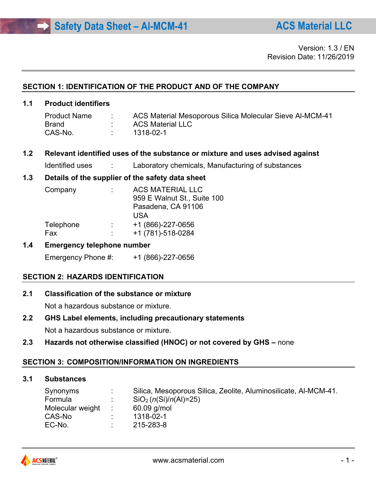#### **SECTION 1: IDENTIFICATION OF THE PRODUCT AND OF THE COMPANY**

## **1.1 Product identifiers**

| <b>Product Name</b> | ACS Material Mesoporous Silica Molecular Sieve Al-MCM-41 |
|---------------------|----------------------------------------------------------|
| Brand               | <b>ACS Material LLC</b>                                  |
| CAS-No.             | 1318-02-1                                                |

#### **1.2 Relevant identified uses of the substance or mixture and uses advised against**

Identified uses : Laboratory chemicals, Manufacturing of substances

## **1.3 Details of the supplier of the safety data sheet**

| 959 E Walnut St., Suite 100 |
|-----------------------------|
|                             |
|                             |
|                             |
|                             |
|                             |

## **1.4 Emergency telephone number**

Emergency Phone #: +1 (866)-227-0656

## **SECTION 2: HAZARDS IDENTIFICATION**

**2.1 Classification of the substance or mixture**

Not a hazardous substance or mixture.

**2.2 GHS Label elements, including precautionary statements**

Not a hazardous substance or mixture.

**2.3 Hazards not otherwise classified (HNOC) or not covered by GHS –** none

## **SECTION 3: COMPOSITION/INFORMATION ON INGREDIENTS**

# **3.1 Substances**

| Synonyms           | Silica, Mesoporous Silica, Zeolite, Aluminosilicate, Al-MCM-41. |
|--------------------|-----------------------------------------------------------------|
| Formula            | $SiO2$ (n(Si)/n(Al)=25)                                         |
| Molecular weight : | $60.09$ g/mol                                                   |
| CAS-No             | 1318-02-1                                                       |
| EC-No.             | 215-283-8                                                       |
|                    |                                                                 |

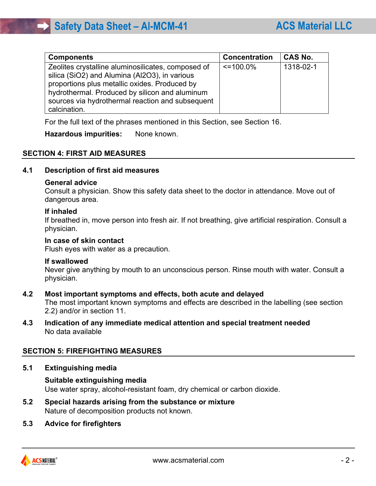| <b>Components</b>                                                                                                                                                                                                                                                          | <b>Concentration</b> | <b>CAS No.</b> |
|----------------------------------------------------------------------------------------------------------------------------------------------------------------------------------------------------------------------------------------------------------------------------|----------------------|----------------|
| Zeolites crystalline aluminosilicates, composed of<br>silica (SiO2) and Alumina (Al2O3), in various<br>proportions plus metallic oxides. Produced by<br>hydrothermal. Produced by silicon and aluminum<br>sources via hydrothermal reaction and subsequent<br>calcination. | $\leq$ 100.0%        | 1318-02-1      |

For the full text of the phrases mentioned in this Section, see Section 16.

#### **Hazardous impurities:** None known.

## **SECTION 4: FIRST AID MEASURES**

#### **4.1 Description of first aid measures**

#### **General advice**

Consult a physician. Show this safety data sheet to the doctor in attendance. Move out of dangerous area.

#### **If inhaled**

If breathed in, move person into fresh air. If not breathing, give artificial respiration. Consult a physician.

#### **In case of skin contact**

Flush eyes with water as a precaution.

#### **If swallowed**

Never give anything by mouth to an unconscious person. Rinse mouth with water. Consult a physician.

#### **4.2 Most important symptoms and effects, both acute and delayed**

The most important known symptoms and effects are described in the labelling (see section 2.2) and/or in section 11.

#### **4.3 Indication of any immediate medical attention and special treatment needed** No data available

## **SECTION 5: FIREFIGHTING MEASURES**

#### **5.1 Extinguishing media**

#### **Suitable extinguishing media** Use water spray, alcohol-resistant foam, dry chemical or carbon dioxide.

- **5.2 Special hazards arising from the substance or mixture** Nature of decomposition products not known.
- **5.3 Advice for firefighters**

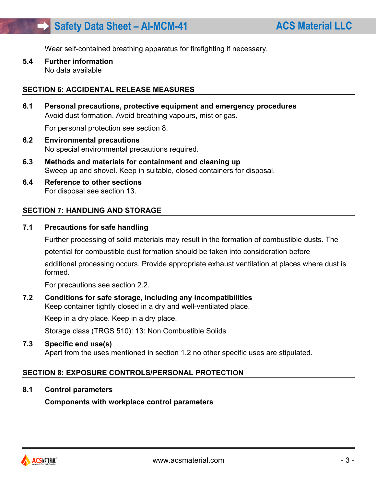Wear self-contained breathing apparatus for firefighting if necessary.

**5.4 Further information** No data available

#### **SECTION 6: ACCIDENTAL RELEASE MEASURES**

**6.1 Personal precautions, protective equipment and emergency procedures** Avoid dust formation. Avoid breathing vapours, mist or gas.

For personal protection see section 8.

- **6.2 Environmental precautions** No special environmental precautions required.
- **6.3 Methods and materials for containment and cleaning up** Sweep up and shovel. Keep in suitable, closed containers for disposal.
- **6.4 Reference to other sections** For disposal see section 13.

#### **SECTION 7: HANDLING AND STORAGE**

#### **7.1 Precautions for safe handling**

Further processing of solid materials may result in the formation of combustible dusts. The

potential for combustible dust formation should be taken into consideration before

additional processing occurs. Provide appropriate exhaust ventilation at places where dust is formed.

For precautions see section 2.2.

# **7.2 Conditions for safe storage, including any incompatibilities**

Keep container tightly closed in a dry and well-ventilated place.

Keep in a dry place. Keep in a dry place.

Storage class (TRGS 510): 13: Non Combustible Solids

#### **7.3 Specific end use(s)**

Apart from the uses mentioned in section 1.2 no other specific uses are stipulated.

#### **SECTION 8: EXPOSURE CONTROLS/PERSONAL PROTECTION**

**8.1 Control parameters**

**Components with workplace control parameters**

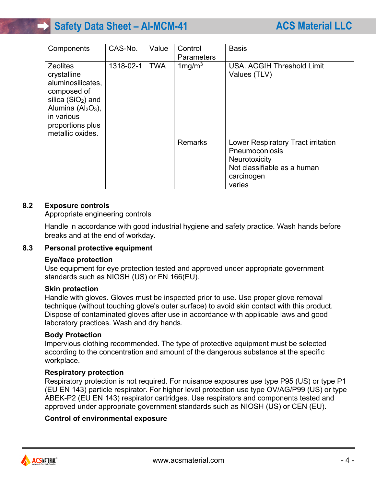| Components                                                                                                                                                             | CAS-No.   | Value      | Control<br><b>Parameters</b> | <b>Basis</b>                                                                                                                        |
|------------------------------------------------------------------------------------------------------------------------------------------------------------------------|-----------|------------|------------------------------|-------------------------------------------------------------------------------------------------------------------------------------|
| <b>Zeolites</b><br>crystalline<br>aluminosilicates,<br>composed of<br>silica $(SiO2)$ and<br>Alumina $(AI2O3)$ ,<br>in various<br>proportions plus<br>metallic oxides. | 1318-02-1 | <b>TWA</b> | $1$ mg/m $3$                 | USA, ACGIH Threshold Limit<br>Values (TLV)                                                                                          |
|                                                                                                                                                                        |           |            | Remarks                      | Lower Respiratory Tract irritation<br>Pneumoconiosis<br><b>Neurotoxicity</b><br>Not classifiable as a human<br>carcinogen<br>varies |

## **8.2 Exposure controls**

Appropriate engineering controls

Handle in accordance with good industrial hygiene and safety practice. Wash hands before breaks and at the end of workday.

## **8.3 Personal protective equipment**

#### **Eye/face protection**

Use equipment for eye protection tested and approved under appropriate government standards such as NIOSH (US) or EN 166(EU).

#### **Skin protection**

Handle with gloves. Gloves must be inspected prior to use. Use proper glove removal technique (without touching glove's outer surface) to avoid skin contact with this product. Dispose of contaminated gloves after use in accordance with applicable laws and good laboratory practices. Wash and dry hands.

#### **Body Protection**

Impervious clothing recommended. The type of protective equipment must be selected according to the concentration and amount of the dangerous substance at the specific workplace.

#### **Respiratory protection**

Respiratory protection is not required. For nuisance exposures use type P95 (US) or type P1 (EU EN 143) particle respirator. For higher level protection use type OV/AG/P99 (US) or type ABEK-P2 (EU EN 143) respirator cartridges. Use respirators and components tested and approved under appropriate government standards such as NIOSH (US) or CEN (EU).

## **Control of environmental exposure**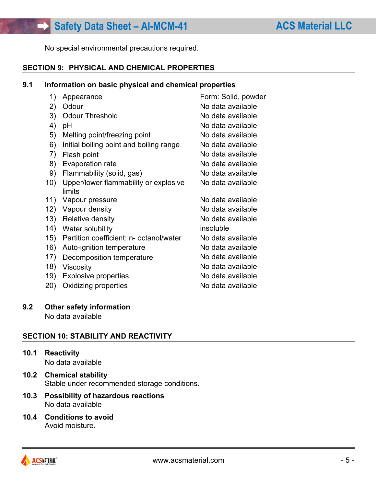No special environmental precautions required.

# **SECTION 9: PHYSICAL AND CHEMICAL PROPERTIES**

#### **9.1 Information on basic physical and chemical properties**

| 1)   | Appearance                              | Form: Solid, powder |
|------|-----------------------------------------|---------------------|
| 2)   | Odour                                   | No data available   |
| 3)   | <b>Odour Threshold</b>                  | No data available   |
| 4)   | рH                                      | No data available   |
| 5)   | Melting point/freezing point            | No data available   |
| 6)   | Initial boiling point and boiling range | No data available   |
| 7)   | Flash point                             | No data available   |
| 8)   | Evaporation rate                        | No data available   |
| 9)   | Flammability (solid, gas)               | No data available   |
| 10)  | Upper/lower flammability or explosive   | No data available   |
|      | limits                                  |                     |
| 11)  | Vapour pressure                         | No data available   |
| 12)  | Vapour density                          | No data available   |
| 13)  | <b>Relative density</b>                 | No data available   |
| (14) | Water solubility                        | insoluble           |
| 15)  | Partition coefficient: n- octanol/water | No data available   |
| 16)  | Auto-ignition temperature               | No data available   |
| 17)  | Decomposition temperature               | No data available   |
| 18)  | <b>Viscosity</b>                        | No data available   |
| 19)  | <b>Explosive properties</b>             | No data available   |
| 20)  | Oxidizing properties                    | No data available   |

## **9.2 Other safety information**

No data available

# **SECTION 10: STABILITY AND REACTIVITY**

**10.1 Reactivity**

No data available

- **10.2 Chemical stability** Stable under recommended storage conditions.
- **10.3 Possibility of hazardous reactions** No data available
- **10.4 Conditions to avoid** Avoid moisture.

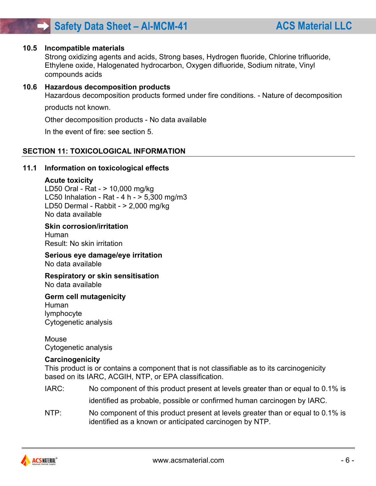#### **10.5 Incompatible materials**

Strong oxidizing agents and acids, Strong bases, Hydrogen fluoride, Chlorine trifluoride, Ethylene oxide, Halogenated hydrocarbon, Oxygen difluoride, Sodium nitrate, Vinyl compounds acids

#### **10.6 Hazardous decomposition products**

Hazardous decomposition products formed under fire conditions. - Nature of decomposition

products not known.

Other decomposition products - No data available

In the event of fire: see section 5.

#### **SECTION 11: TOXICOLOGICAL INFORMATION**

#### **11.1 Information on toxicological effects**

#### **Acute toxicity**

LD50 Oral - Rat - > 10,000 mg/kg LC50 Inhalation - Rat - 4 h - > 5,300 mg/m3 LD50 Dermal - Rabbit - > 2,000 mg/kg No data available

#### **Skin corrosion/irritation**

Human Result: No skin irritation

**Serious eye damage/eye irritation** No data available

# **Respiratory or skin sensitisation**

No data available

#### **Germ cell mutagenicity**

Human lymphocyte Cytogenetic analysis

Mouse Cytogenetic analysis

#### **Carcinogenicity**

This product is or contains a component that is not classifiable as to its carcinogenicity based on its IARC, ACGIH, NTP, or EPA classification.

- IARC: No component of this product present at levels greater than or equal to 0.1% is identified as probable, possible or confirmed human carcinogen by IARC.
- NTP: No component of this product present at levels greater than or equal to 0.1% is identified as a known or anticipated carcinogen by NTP.

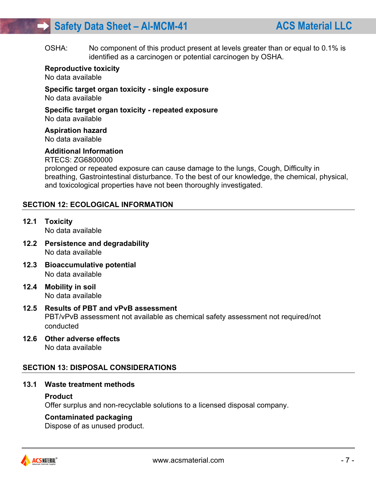OSHA: No component of this product present at levels greater than or equal to 0.1% is identified as a carcinogen or potential carcinogen by OSHA.

#### **Reproductive toxicity**

No data available

# **Specific target organ toxicity - single exposure**

No data available

#### **Specific target organ toxicity - repeated exposure** No data available

**Aspiration hazard**

No data available

## **Additional Information**

RTECS: ZG6800000

prolonged or repeated exposure can cause damage to the lungs, Cough, Difficulty in breathing, Gastrointestinal disturbance. To the best of our knowledge, the chemical, physical, and toxicological properties have not been thoroughly investigated.

## **SECTION 12: ECOLOGICAL INFORMATION**

- **12.1 Toxicity** No data available
- **12.2 Persistence and degradability** No data available
- **12.3 Bioaccumulative potential** No data available
- **12.4 Mobility in soil** No data available
- **12.5 Results of PBT and vPvB assessment** PBT/vPvB assessment not available as chemical safety assessment not required/not conducted
- **12.6 Other adverse effects** No data available

# **SECTION 13: DISPOSAL CONSIDERATIONS**

## **13.1 Waste treatment methods**

#### **Product**

Offer surplus and non-recyclable solutions to a licensed disposal company.

## **Contaminated packaging**

Dispose of as unused product.

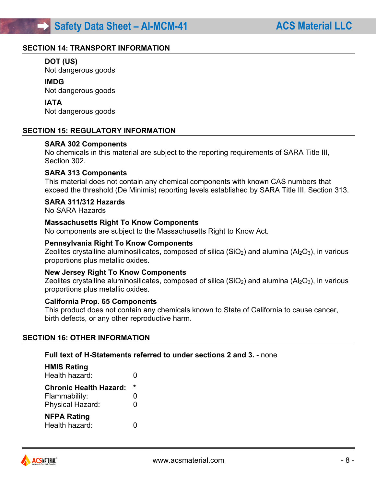#### **SECTION 14: TRANSPORT INFORMATION**

## **DOT (US)**

Not dangerous goods

#### **IMDG**

Not dangerous goods

#### **IATA**

Not dangerous goods

#### **SECTION 15: REGULATORY INFORMATION**

#### **SARA 302 Components**

No chemicals in this material are subject to the reporting requirements of SARA Title III, Section 302.

#### **SARA 313 Components**

This material does not contain any chemical components with known CAS numbers that exceed the threshold (De Minimis) reporting levels established by SARA Title III, Section 313.

#### **SARA 311/312 Hazards**

No SARA Hazards

#### **Massachusetts Right To Know Components**

No components are subject to the Massachusetts Right to Know Act.

#### **Pennsylvania Right To Know Components**

Zeolites crystalline aluminosilicates, composed of silica (SiO<sub>2</sub>) and alumina (Al<sub>2</sub>O<sub>3</sub>), in various proportions plus metallic oxides.

#### **New Jersey Right To Know Components**

Zeolites crystalline aluminosilicates, composed of silica ( $SiO<sub>2</sub>$ ) and alumina ( $Al<sub>2</sub>O<sub>3</sub>$ ), in various proportions plus metallic oxides.

#### **California Prop. 65 Components**

This product does not contain any chemicals known to State of California to cause cancer, birth defects, or any other reproductive harm.

#### **SECTION 16: OTHER INFORMATION**

## **Full text of H-Statements referred to under sections 2 and 3.** - none

| <b>HMIS Rating</b>            |         |
|-------------------------------|---------|
| Health hazard:                |         |
| <b>Chronic Health Hazard:</b> | $\star$ |
| Flammability:                 | O       |
| <b>Physical Hazard:</b>       | O       |
| <b>NFPA Rating</b>            |         |
| Health hazard:                |         |